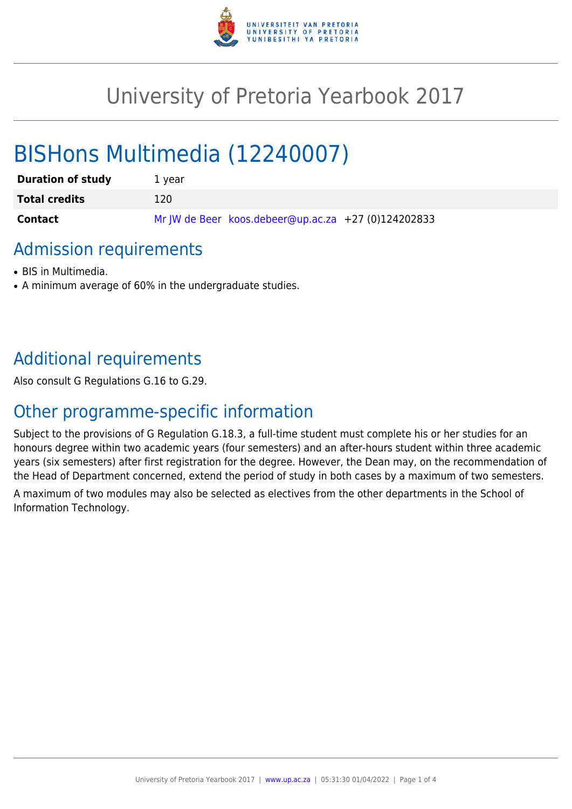

# University of Pretoria Yearbook 2017

# BISHons Multimedia (12240007)

| <b>Duration of study</b> | 1 vear                                              |
|--------------------------|-----------------------------------------------------|
| <b>Total credits</b>     | 120                                                 |
| Contact                  | Mr JW de Beer koos.debeer@up.ac.za +27 (0)124202833 |

# Admission requirements

- BIS in Multimedia.
- A minimum average of 60% in the undergraduate studies.

# Additional requirements

Also consult G Regulations G.16 to G.29.

# Other programme-specific information

Subject to the provisions of G Regulation G.18.3, a full-time student must complete his or her studies for an honours degree within two academic years (four semesters) and an after-hours student within three academic years (six semesters) after first registration for the degree. However, the Dean may, on the recommendation of the Head of Department concerned, extend the period of study in both cases by a maximum of two semesters. A maximum of two modules may also be selected as electives from the other departments in the School of Information Technology.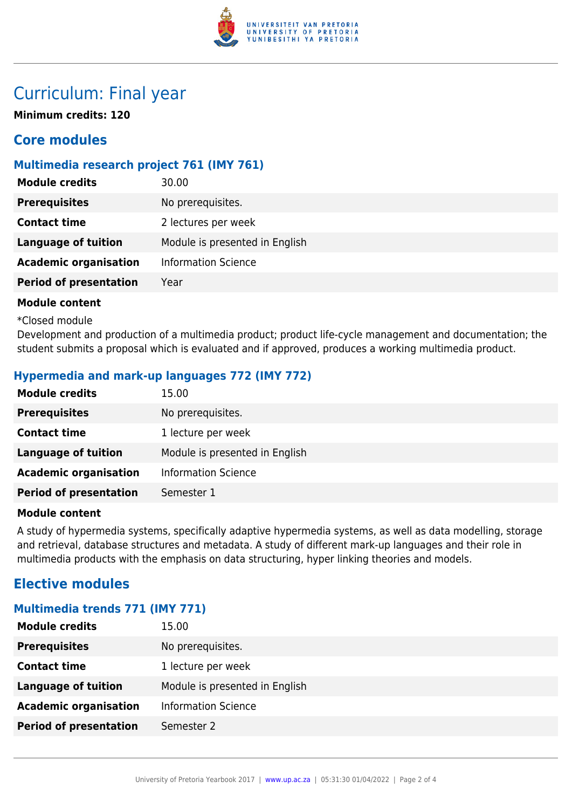

# Curriculum: Final year

**Minimum credits: 120**

### **Core modules**

### **Multimedia research project 761 (IMY 761)**

| <b>Module credits</b>         | 30.00                          |
|-------------------------------|--------------------------------|
| <b>Prerequisites</b>          | No prerequisites.              |
| <b>Contact time</b>           | 2 lectures per week            |
| <b>Language of tuition</b>    | Module is presented in English |
| <b>Academic organisation</b>  | <b>Information Science</b>     |
| <b>Period of presentation</b> | Year                           |
|                               |                                |

### **Module content**

\*Closed module

Development and production of a multimedia product; product life-cycle management and documentation; the student submits a proposal which is evaluated and if approved, produces a working multimedia product.

### **Hypermedia and mark-up languages 772 (IMY 772)**

| <b>Module credits</b>         | 15.00                          |
|-------------------------------|--------------------------------|
| <b>Prerequisites</b>          | No prerequisites.              |
| <b>Contact time</b>           | 1 lecture per week             |
| <b>Language of tuition</b>    | Module is presented in English |
| <b>Academic organisation</b>  | <b>Information Science</b>     |
| <b>Period of presentation</b> | Semester 1                     |

#### **Module content**

A study of hypermedia systems, specifically adaptive hypermedia systems, as well as data modelling, storage and retrieval, database structures and metadata. A study of different mark-up languages and their role in multimedia products with the emphasis on data structuring, hyper linking theories and models.

### **Elective modules**

#### **Multimedia trends 771 (IMY 771)**

| <b>Module credits</b>         | 15.00                          |
|-------------------------------|--------------------------------|
| <b>Prerequisites</b>          | No prerequisites.              |
| <b>Contact time</b>           | 1 lecture per week             |
| <b>Language of tuition</b>    | Module is presented in English |
| <b>Academic organisation</b>  | <b>Information Science</b>     |
| <b>Period of presentation</b> | Semester 2                     |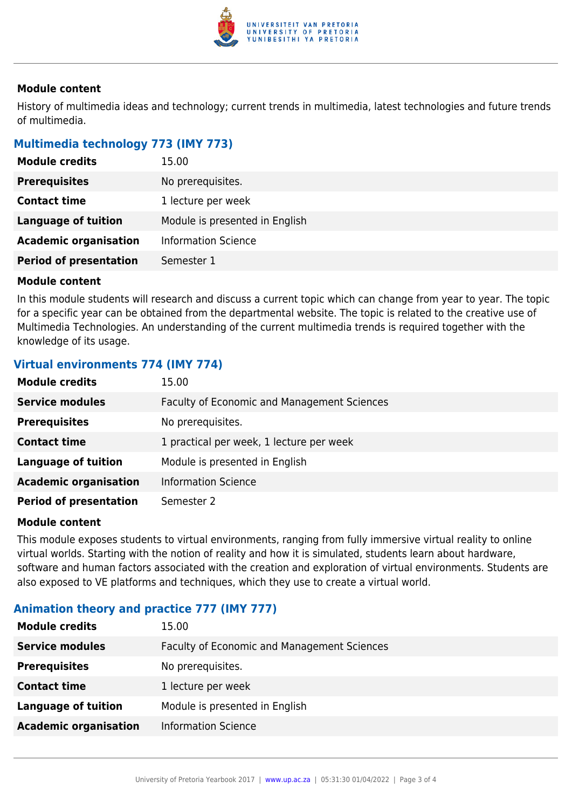

#### **Module content**

History of multimedia ideas and technology; current trends in multimedia, latest technologies and future trends of multimedia.

#### **Multimedia technology 773 (IMY 773)**

| 15.00                          |
|--------------------------------|
| No prerequisites.              |
| 1 lecture per week             |
| Module is presented in English |
| <b>Information Science</b>     |
| Semester 1                     |
|                                |

#### **Module content**

In this module students will research and discuss a current topic which can change from year to year. The topic for a specific year can be obtained from the departmental website. The topic is related to the creative use of Multimedia Technologies. An understanding of the current multimedia trends is required together with the knowledge of its usage.

#### **Virtual environments 774 (IMY 774)**

| <b>Module credits</b>         | 15.00                                              |  |
|-------------------------------|----------------------------------------------------|--|
| <b>Service modules</b>        | <b>Faculty of Economic and Management Sciences</b> |  |
| <b>Prerequisites</b>          | No prerequisites.                                  |  |
| <b>Contact time</b>           | 1 practical per week, 1 lecture per week           |  |
| <b>Language of tuition</b>    | Module is presented in English                     |  |
| <b>Academic organisation</b>  | <b>Information Science</b>                         |  |
| <b>Period of presentation</b> | Semester 2                                         |  |

#### **Module content**

This module exposes students to virtual environments, ranging from fully immersive virtual reality to online virtual worlds. Starting with the notion of reality and how it is simulated, students learn about hardware, software and human factors associated with the creation and exploration of virtual environments. Students are also exposed to VE platforms and techniques, which they use to create a virtual world.

#### **Animation theory and practice 777 (IMY 777)**

| <b>Module credits</b>        | 15.00                                              |  |
|------------------------------|----------------------------------------------------|--|
| <b>Service modules</b>       | <b>Faculty of Economic and Management Sciences</b> |  |
| <b>Prerequisites</b>         | No prerequisites.                                  |  |
| <b>Contact time</b>          | 1 lecture per week                                 |  |
| <b>Language of tuition</b>   | Module is presented in English                     |  |
| <b>Academic organisation</b> | <b>Information Science</b>                         |  |